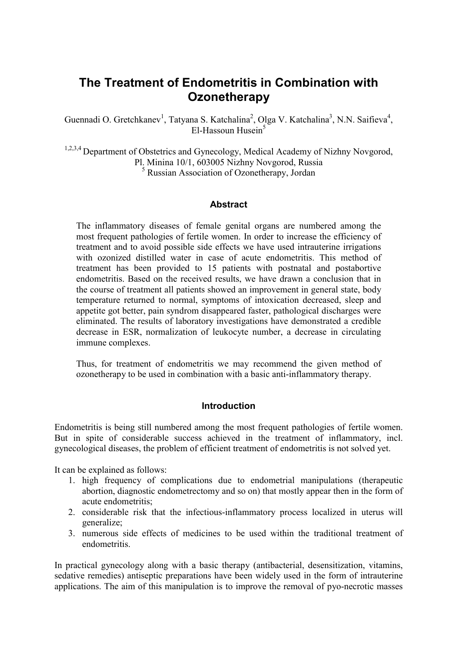# **The Treatment of Endometritis in Combination with Ozonetherapy**

Guennadi O. Gretchkanev<sup>1</sup>, Tatyana S. Katchalina<sup>2</sup>, Olga V. Katchalina<sup>3</sup>, N.N. Saifieva<sup>4</sup>, El-Hassoun Husein $5$ 

<sup>1,2,3,4</sup> Department of Obstetrics and Gynecology, Medical Academy of Nizhny Novgorod, Pl. Minina 10/1, 603005 Nizhny Novgorod, Russia 5 Russian Association of Ozonetherapy, Jordan

## **Abstract**

The inflammatory diseases of female genital organs are numbered among the most frequent pathologies of fertile women. In order to increase the efficiency of treatment and to avoid possible side effects we have used intrauterine irrigations with ozonized distilled water in case of acute endometritis. This method of treatment has been provided to 15 patients with postnatal and postabortive endometritis. Based on the received results, we have drawn a conclusion that in the course of treatment all patients showed an improvement in general state, body temperature returned to normal, symptoms of intoxication decreased, sleep and appetite got better, pain syndrom disappeared faster, pathological discharges were eliminated. The results of laboratory investigations have demonstrated a credible decrease in ESR, normalization of leukocyte number, a decrease in circulating immune complexes.

Thus, for treatment of endometritis we may recommend the given method of ozonetherapy to be used in combination with a basic anti-inflammatory therapy.

### **Introduction**

Endometritis is being still numbered among the most frequent pathologies of fertile women. But in spite of considerable success achieved in the treatment of inflammatory, incl. gynecological diseases, the problem of efficient treatment of endometritis is not solved yet.

It can be explained as follows:

- 1. high frequency of complications due to endometrial manipulations (therapeutic abortion, diagnostic endometrectomy and so on) that mostly appear then in the form of acute endometritis;
- 2. considerable risk that the infectious-inflammatory process localized in uterus will generalize;
- 3. numerous side effects of medicines to be used within the traditional treatment of endometritis.

In practical gynecology along with a basic therapy (antibacterial, desensitization, vitamins, sedative remedies) antiseptic preparations have been widely used in the form of intrauterine applications. The aim of this manipulation is to improve the removal of pyo-necrotic masses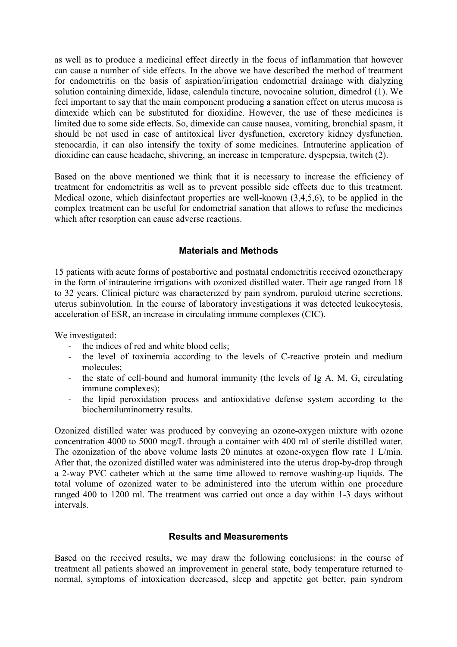as well as to produce a medicinal effect directly in the focus of inflammation that however can cause a number of side effects. In the above we have described the method of treatment for endometritis on the basis of aspiration/irrigation endometrial drainage with dialyzing solution containing dimexide, lidase, calendula tincture, novocaine solution, dimedrol (1). We feel important to say that the main component producing a sanation effect on uterus mucosa is dimexide which can be substituted for dioxidine. However, the use of these medicines is limited due to some side effects. So, dimexide can cause nausea, vomiting, bronchial spasm, it should be not used in case of antitoxical liver dysfunction, excretory kidney dysfunction, stenocardia, it can also intensify the toxity of some medicines. Intrauterine application of dioxidine can cause headache, shivering, an increase in temperature, dyspepsia, twitch (2).

Based on the above mentioned we think that it is necessary to increase the efficiency of treatment for endometritis as well as to prevent possible side effects due to this treatment. Medical ozone, which disinfectant properties are well-known (3,4,5,6), to be applied in the complex treatment can be useful for endometrial sanation that allows to refuse the medicines which after resorption can cause adverse reactions.

# **Materials and Methods**

15 patients with acute forms of postabortive and postnatal endometritis received ozonetherapy in the form of intrauterine irrigations with ozonized distilled water. Their age ranged from 18 to 32 years. Clinical picture was characterized by pain syndrom, puruloid uterine secretions, uterus subinvolution. In the course of laboratory investigations it was detected leukocytosis, acceleration of ESR, an increase in circulating immune complexes (CIC).

We investigated:

- the indices of red and white blood cells;
- the level of toxinemia according to the levels of C-reactive protein and medium molecules;
- the state of cell-bound and humoral immunity (the levels of Ig A, M, G, circulating immune complexes);
- the lipid peroxidation process and antioxidative defense system according to the biochemiluminometry results.

Ozonized distilled water was produced by conveying an ozone-oxygen mixture with ozone concentration 4000 to 5000 mcg/L through a container with 400 ml of sterile distilled water. The ozonization of the above volume lasts 20 minutes at ozone-oxygen flow rate 1 L/min. After that, the ozonized distilled water was administered into the uterus drop-by-drop through a 2-way PVC catheter which at the same time allowed to remove washing-up liquids. The total volume of ozonized water to be administered into the uterum within one procedure ranged 400 to 1200 ml. The treatment was carried out once a day within 1-3 days without intervals.

# **Results and Measurements**

Based on the received results, we may draw the following conclusions: in the course of treatment all patients showed an improvement in general state, body temperature returned to normal, symptoms of intoxication decreased, sleep and appetite got better, pain syndrom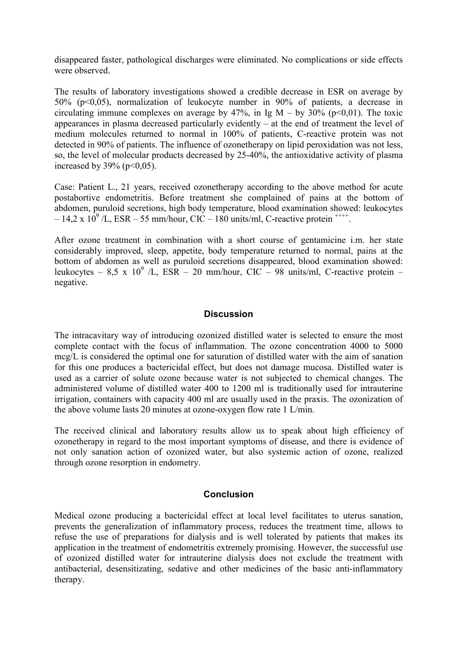disappeared faster, pathological discharges were eliminated. No complications or side effects were observed.

The results of laboratory investigations showed a credible decrease in ESR on average by 50% (p<0,05), normalization of leukocyte number in 90% of patients, a decrease in circulating immune complexes on average by 47%, in Ig  $M - by 30\%$  (p<0,01). The toxic appearances in plasma decreased particularly evidently – at the end of treatment the level of medium molecules returned to normal in 100% of patients, C-reactive protein was not detected in 90% of patients. The influence of ozonetherapy on lipid peroxidation was not less, so, the level of molecular products decreased by 25-40%, the antioxidative activity of plasma increased by  $39\%$  (p  $\leq 0.05$ ).

Case: Patient L., 21 years, received ozonetherapy according to the above method for acute postabortive endometritis. Before treatment she complained of pains at the bottom of abdomen, puruloid secretions, high body temperature, blood examination showed: leukocytes  $-14.2 \times 10^9$  /L, ESR – 55 mm/hour, CIC – 180 units/ml, C-reactive protein <sup>++++</sup>.

After ozone treatment in combination with a short course of gentamicine i.m. her state considerably improved, sleep, appetite, body temperature returned to normal, pains at the bottom of abdomen as well as puruloid secretions disappeared, blood examination showed: leukocytes – 8,5 x 10<sup>9</sup> /L, ESR – 20 mm/hour, CIC – 98 units/ml, C-reactive protein – negative.

## **Discussion**

The intracavitary way of introducing ozonized distilled water is selected to ensure the most complete contact with the focus of inflammation. The ozone concentration 4000 to 5000 mcg/L is considered the optimal one for saturation of distilled water with the aim of sanation for this one produces a bactericidal effect, but does not damage mucosa. Distilled water is used as a carrier of solute ozone because water is not subjected to chemical changes. The administered volume of distilled water 400 to 1200 ml is traditionally used for intrauterine irrigation, containers with capacity 400 ml are usually used in the praxis. The ozonization of the above volume lasts 20 minutes at ozone-oxygen flow rate 1 L/min.

The received clinical and laboratory results allow us to speak about high efficiency of ozonetherapy in regard to the most important symptoms of disease, and there is evidence of not only sanation action of ozonized water, but also systemic action of ozone, realized through ozone resorption in endometry.

### **Conclusion**

Medical ozone producing a bactericidal effect at local level facilitates to uterus sanation, prevents the generalization of inflammatory process, reduces the treatment time, allows to refuse the use of preparations for dialysis and is well tolerated by patients that makes its application in the treatment of endometritis extremely promising. However, the successful use of ozonized distilled water for intrauterine dialysis does not exclude the treatment with antibacterial, desensitizating, sedative and other medicines of the basic anti-inflammatory therapy.